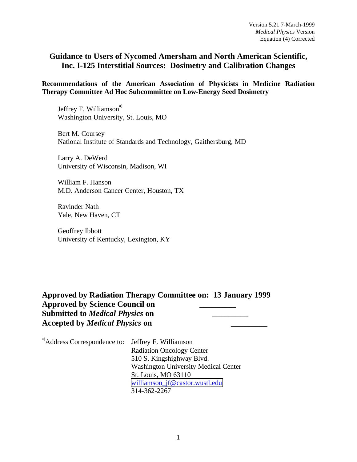# **Guidance to Users of Nycomed Amersham and North American Scientific, Inc. I-125 Interstitial Sources: Dosimetry and Calibration Changes**

**Recommendations of the American Association of Physicists in Medicine Radiation Therapy Committee Ad Hoc Subcommittee on Low-Energy Seed Dosimetry**

Jeffrey F. Williamson<sup>a)</sup> Washington University, St. Louis, MO

Bert M. Coursey National Institute of Standards and Technology, Gaithersburg, MD

Larry A. DeWerd University of Wisconsin, Madison, WI

William F. Hanson M.D. Anderson Cancer Center, Houston, TX

Ravinder Nath Yale, New Haven, CT

Geoffrey Ibbott University of Kentucky, Lexington, KY

# **Approved by Radiation Therapy Committee on: 13 January 1999 Approved by Science Council on \_\_\_\_\_\_\_\_\_ Submitted to** *Medical Physics* **on \_\_\_\_\_\_\_\_\_ Accepted by** *Medical Physics* **on \_\_\_\_\_\_\_\_\_**

| a) Address Correspondence to: Jeffrey F. Williamson |
|-----------------------------------------------------|
| <b>Radiation Oncology Center</b>                    |
| 510 S. Kingshighway Blvd.                           |
| <b>Washington University Medical Center</b>         |
| St. Louis, MO 63110                                 |
| williamson_jf@castor.wustl.edu                      |
| 314-362-2267                                        |
|                                                     |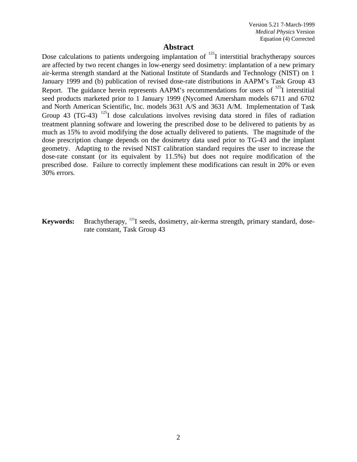Version 5.21 7-March-1999 *Medical Physics* Version Equation (4) Corrected

## **Abstract**

Dose calculations to patients undergoing implantation of <sup>125</sup>I interstitial brachytherapy sources are affected by two recent changes in low-energy seed dosimetry: implantation of a new primary air-kerma strength standard at the National Institute of Standards and Technology (NIST) on 1 January 1999 and (b) publication of revised dose-rate distributions in AAPM's Task Group 43 Report. The guidance herein represents AAPM's recommendations for users of  $^{125}I$  interstitial seed products marketed prior to 1 January 1999 (Nycomed Amersham models 6711 and 6702 and North American Scientific, Inc. models 3631 A/S and 3631 A/M. Implementation of Task Group 43 (TG-43) <sup>125</sup>I dose calculations involves revising data stored in files of radiation treatment planning software and lowering the prescribed dose to be delivered to patients by as much as 15% to avoid modifying the dose actually delivered to patients. The magnitude of the dose prescription change depends on the dosimetry data used prior to TG-43 and the implant geometry. Adapting to the revised NIST calibration standard requires the user to increase the dose-rate constant (or its equivalent by 11.5%) but does not require modification of the prescribed dose. Failure to correctly implement these modifications can result in 20% or even 30% errors.

**Keywords:** Brachytherapy, <sup>125</sup>I seeds, dosimetry, air-kerma strength, primary standard, doserate constant, Task Group 43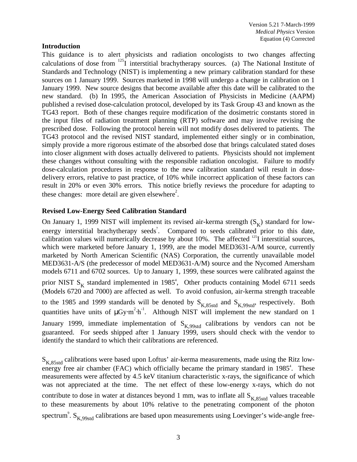## **Introduction**

This guidance is to alert physicists and radiation oncologists to two changes affecting calculations of dose from  $^{125}$ I interstitial brachytherapy sources. (a) The National Institute of Standards and Technology (NIST) is implementing a new primary calibration standard for these sources on 1 January 1999. Sources marketed in 1998 will undergo a change in calibration on 1 January 1999. New source designs that become available after this date will be calibrated to the new standard. (b) In 1995, the American Association of Physicists in Medicine (AAPM) published a revised dose-calculation protocol, developed by its Task Group 43 and known as the TG43 report. Both of these changes require modification of the dosimetric constants stored in the input files of radiation treatment planning (RTP) software and may involve revising the prescribed dose. Following the protocol herein will not modify doses delivered to patients. The TG43 protocol and the revised NIST standard, implemented either singly or in combination, simply provide a more rigorous estimate of the absorbed dose that brings calculated stated doses into closer alignment with doses actually delivered to patients. Physicists should not implement these changes without consulting with the responsible radiation oncologist. Failure to modify dose-calculation procedures in response to the new calibration standard will result in dosedelivery errors, relative to past practice, of 10% while incorrect application of these factors can result in 20% or even 30% errors. This notice briefly reviews the procedure for adapting to these changes: more detail are given elsewhere<sup>2</sup>.

## **Revised Low-Energy Seed Calibration Standard**

On January 1, 1999 NIST will implement its revised air-kerma strength  $(S_K)$  standard for lowenergy interstitial brachytherapy seeds<sup>7</sup>. Compared to seeds calibrated prior to this date, calibration values will numerically decrease by about 10%. The affected  $^{125}$ I interstitial sources, which were marketed before January 1, 1999, are the model MED3631-A/M source, currently marketed by North American Scientific (NAS) Corporation, the currently unavailable model MED3631-A/S (the predecessor of model MED3631-A/M) source and the Nycomed Amersham models 6711 and 6702 sources. Up to January 1, 1999, these sources were calibrated against the prior NIST  $S_K$  standard implemented in 1985<sup>4</sup>, Other products containing Model 6711 seeds (Models 6720 and 7000) are affected as well. To avoid confusion, air-kerma strength traceable to the 1985 and 1999 standards will be denoted by  $S_{K,85\text{std}}$  and  $S_{K,99\text{std}}$ , respectively. Both quantities have units of  $\mu$ Gy⋅m<sup>2</sup>⋅h<sup>-1</sup>. Although NIST will implement the new standard on 1 January 1999, immediate implementation of  $S_{K,99std}$  calibrations by vendors can not be guaranteed. For seeds shipped after 1 January 1999, users should check with the vendor to identify the standard to which their calibrations are referenced.

 $S_{K,85\text{std}}$  calibrations were based upon Loftus' air-kerma measurements, made using the Ritz lowenergy free air chamber (FAC) which officially became the primary standard in 1985<sup>4</sup>. These measurements were affected by 4.5 keV titanium characteristic x-rays, the significance of which was not appreciated at the time. The net effect of these low-energy x-rays, which do not contribute to dose in water at distances beyond 1 mm, was to inflate all  $S_{K,85std}$  values traceable to these measurements by about 10% relative to the penetrating component of the photon spectrum<sup>9</sup>. S<sub>K,99std</sub> calibrations are based upon measurements using Loevinger's wide-angle free-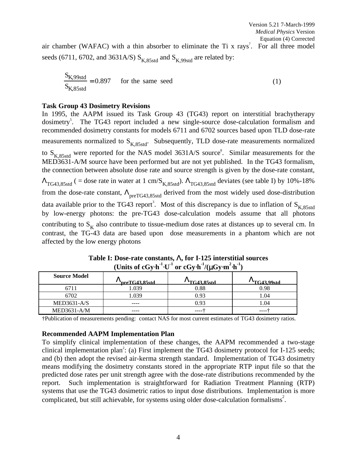air chamber (WAFAC) with a thin absorber to eliminate the Ti x rays<sup>7</sup>. For all three model seeds (6711, 6702, and 3631A/S)  $S_{K,85\text{std}}$  and  $S_{K,99\text{std}}$  are related by:

$$
\left.\frac{S_{K,99std}}{S_{K,85std}} = 0.897\right\}
$$
 for the same seed (1)

### **Task Group 43 Dosimetry Revisions**

In 1995, the AAPM issued its Task Group 43 (TG43) report on interstitial brachytherapy dosimetry<sup>5</sup>. The TG43 report included a new single-source dose-calculation formalism and recommended dosimetry constants for models 6711 and 6702 sources based upon TLD dose-rate measurements normalized to  $S_{K,85std}$ . Subsequently, TLD dose-rate measurements normalized to  $S_{K, 85std}$  were reported for the NAS model 3631A/S source<sup>8</sup>. Similar measurements for the MED3631-A/M source have been performed but are not yet published. In the TG43 formalism, the connection between absolute dose rate and source strength is given by the dose-rate constant,  $\Lambda_{TG43,85std}$  ( = dose rate in water at 1 cm/S<sub>K,85std</sub>).  $\Lambda_{TG43,85std}$  deviates (see table I) by 10%-18% from the dose-rate constant,  $\Lambda_{\text{preTG43,85std}}$  derived from the most widely used dose-distribution data available prior to the TG43 report<sup>3</sup>. Most of this discrepancy is due to inflation of  $S_{K,85\text{std}}$ by low-energy photons: the pre-TG43 dose-calculation models assume that all photons contributing to  $S_K$  also contribute to tissue-medium dose rates at distances up to several cm. In contrast, the TG-43 data are based upon dose measurements in a phantom which are not affected by the low energy photons

| <b>Source Model</b> | $\Gamma$ preTG43.85std | $\Lambda$ TG43,85std | $TGA3.99$ std |
|---------------------|------------------------|----------------------|---------------|
|                     | .039                   | 0.88                 | N 98          |
| 6702                | 039                    | 0.93                 | 04            |
| $MED3631-A/S$       | ----                   | 0.93                 | 14            |
| $MED3631-A/M$       | ----                   | ----                 | ----          |

## **Table I: Dose-rate constants,** Λ**, for I-125 interstitial sources**  $(Un$ **its of cGy**⋅**h**<sup>-1</sup>⋅ $U$ <sup>-1</sup> or cGy⋅h<sup>-1</sup>/( $\mu$ Gy⋅m<sup>2</sup>⋅h<sup>-1</sup>)

†Publication of measurements pending: contact NAS for most current estimates of TG43 dosimetry ratios.

### **Recommended AAPM Implementation Plan**

To simplify clinical implementation of these changes, the AAPM recommended a two-stage clinical implementation plan<sup>2</sup>: (a) First implement the TG43 dosimetry protocol for I-125 seeds; and (b) then adopt the revised air-kerma strength standard. Implementation of TG43 dosimetry means modifying the dosimetry constants stored in the appropriate RTP input file so that the predicted dose rates per unit strength agree with the dose-rate distributions recommended by the report. Such implementation is straightforward for Radiation Treatment Planning (RTP) systems that use the TG43 dosimetric ratios to input dose distributions. Implementation is more complicated, but still achievable, for systems using older dose-calculation formalisms<sup>2</sup>.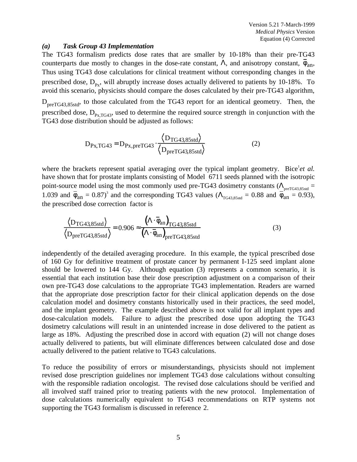#### *(a) Task Group 43 Implementation*

The TG43 formalism predicts dose rates that are smaller by 10-18% than their pre-TG43 counterparts due mostly to changes in the dose-rate constant,  $\Lambda$ , and anisotropy constant,  $\overline{\phi}_{an}$ , Thus using TG43 dose calculations for clinical treatment without corresponding changes in the prescribed dose,  $D_{p_x}$ , will abruptly increase doses actually delivered to patients by 10-18%. To avoid this scenario, physicists should compare the doses calculated by their pre-TG43 algorithm,

D<sub>preTG43,85std</sub>, to those calculated from the TG43 report for an identical geometry. Then, the prescribed dose,  $D_{Px, TG43}$ , used to determine the required source strength in conjunction with the TG43 dose distribution should be adjusted as follows:

$$
D_{Px, TG43} = D_{Px, preTG43} \cdot \frac{\langle D_{TG43, 85 \text{std}} \rangle}{\langle D_{preTG43, 85 \text{std}} \rangle}
$$
(2)

where the brackets represent spatial averaging over the typical implant geometry. Bice *et al.* have shown that for prostate implants consisting of Model 6711 seeds planned with the isotropic point-source model using the most commonly used pre-TG43 dosimetry constants ( $\Lambda_{\text{preTG43,85std}}$  = 1.039 and  $\bar{\phi}_{an} = 0.87$ <sup>3</sup> and the corresponding TG43 values ( $\Lambda_{\text{TG43,85std}} = 0.88$  and  $\bar{\phi}_{an} = 0.93$ ), the prescribed dose correction factor is

$$
\frac{\langle D_{TG43,85\text{std}}\rangle}{\langle D_{\text{preTG43,85\text{std}}}\rangle} = 0.906 \approx \frac{\left(\Lambda \cdot \overline{\phi}_{\text{an}}\right)_{TG43,85\text{std}}}{\left(\Lambda \cdot \overline{\phi}_{\text{an}}\right)_{\text{preTG43,85\text{std}}}}
$$
(3)

independently of the detailed averaging procedure. In this example, the typical prescribed dose of 160 Gy for definitive treatment of prostate cancer by permanent I-125 seed implant alone should be lowered to 144 Gy. Although equation (3) represents a common scenario, it is essential that each institution base their dose prescription adjustment on a comparison of their own pre-TG43 dose calculations to the appropriate TG43 implementation. Readers are warned that the appropriate dose prescription factor for their clinical application depends on the dose calculation model and dosimetry constants historically used in their practices, the seed model, and the implant geometry. The example described above is not valid for all implant types and dose-calculation models. Failure to adjust the prescribed dose upon adopting the TG43 dosimetry calculations will result in an unintended increase in dose delivered to the patient as large as 18%. Adjusting the prescribed dose in accord with equation (2) will not change doses actually delivered to patients, but will eliminate differences between calculated dose and dose actually delivered to the patient relative to TG43 calculations.

To reduce the possibility of errors or misunderstandings, physicists should not implement revised dose prescription guidelines nor implement TG43 dose calculations without consulting with the responsible radiation oncologist. The revised dose calculations should be verified and all involved staff trained prior to treating patients with the new protocol. Implementation of dose calculations numerically equivalent to TG43 recommendations on RTP systems not supporting the TG43 formalism is discussed in reference 2.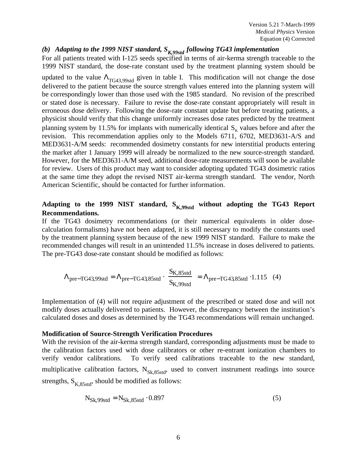# *(b) Adapting to the 1999 NIST standard,*  $S_{K,99std}$  *following TG43 implementation*

For all patients treated with I-125 seeds specified in terms of air-kerma strength traceable to the 1999 NIST standard, the dose-rate constant used by the treatment planning system should be

updated to the value  $\Lambda_{TG43,99std}$  given in table I. This modification will not change the dose delivered to the patient because the source strength values entered into the planning system will be correspondingly lower than those used with the 1985 standard. No revision of the prescribed or stated dose is necessary. Failure to revise the dose-rate constant appropriately will result in erroneous dose delivery. Following the dose-rate constant update but before treating patients, a physicist should verify that this change uniformly increases dose rates predicted by the treatment planning system by 11.5% for implants with numerically identical  $S<sub>K</sub>$  values before and after the revision. This recommendation applies only to the Models 6711, 6702, MED3631-A/S and MED3631-A/M seeds: recommended dosimetry constants for new interstitial products entering the market after 1 January 1999 will already be normalized to the new source-strength standard. However, for the MED3631-A/M seed, additional dose-rate measurements will soon be available for review. Users of this product may want to consider adopting updated TG43 dosimetric ratios at the same time they adopt the revised NIST air-kerma strength standard. The vendor, North American Scientific, should be contacted for further information.

## Adapting to the 1999 NIST standard,  $S_{K,99std}$  without adopting the TG43 Report **Recommendations.**

If the TG43 dosimetry recommendations (or their numerical equivalents in older dosecalculation formalisms) have not been adapted, it is still necessary to modify the constants used by the treatment planning system because of the new 1999 NIST standard. Failure to make the recommended changes will result in an unintended 11.5% increase in doses delivered to patients. The pre-TG43 dose-rate constant should be modified as follows:

$$
\Lambda_{\text{pre-TG43,99std}} = \Lambda_{\text{pre-TG43,85std}} \cdot \left(\frac{S_{K,85std}}{S_{K,99std}}\right) = \Lambda_{\text{pre-TG43,85std}} \cdot 1.115 \quad (4)
$$

Implementation of (4) will not require adjustment of the prescribed or stated dose and will not modify doses actually delivered to patients. However, the discrepancy between the institution's calculated doses and doses as determined by the TG43 recommendations will remain unchanged.

### **Modification of Source-Strength Verification Procedures**

With the revision of the air-kerma strength standard, corresponding adjustments must be made to the calibration factors used with dose calibrators or other re-entrant ionization chambers to verify vendor calibrations. To verify seed calibrations traceable to the new standard, multiplicative calibration factors,  $N_{Sk, 85std}$ , used to convert instrument readings into source strengths,  $S_{K,85std}$ , should be modified as follows:

$$
N_{Sk,99std} = N_{Sk,85std} \cdot 0.897
$$
\n
$$
\tag{5}
$$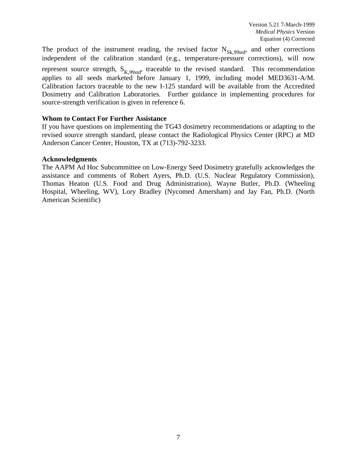The product of the instrument reading, the revised factor  $N_{Sk,99std}$ , and other corrections independent of the calibration standard (e.g., temperature-pressure corrections), will now represent source strength,  $S_{K,99std}$ , traceable to the revised standard. This recommendation applies to all seeds marketed before January 1, 1999, including model MED3631-A/M. Calibration factors traceable to the new I-125 standard will be available from the Accredited Dosimetry and Calibration Laboratories. Further guidance in implementing procedures for source-strength verification is given in reference 6.

### **Whom to Contact For Further Assistance**

If you have questions on implementing the TG43 dosimetry recommendations or adapting to the revised source strength standard, please contact the Radiological Physics Center (RPC) at MD Anderson Cancer Center, Houston, TX at (713)-792-3233.

### **Acknowledgments**

The AAPM Ad Hoc Subcommittee on Low-Energy Seed Dosimetry gratefully acknowledges the assistance and comments of Robert Ayers, Ph.D. (U.S. Nuclear Regulatory Commission), Thomas Heaton (U.S. Food and Drug Administration), Wayne Butler, Ph.D. (Wheeling Hospital, Wheeling, WV), Lory Bradley (Nycomed Amersham) and Jay Fan, Ph.D. (North American Scientific)